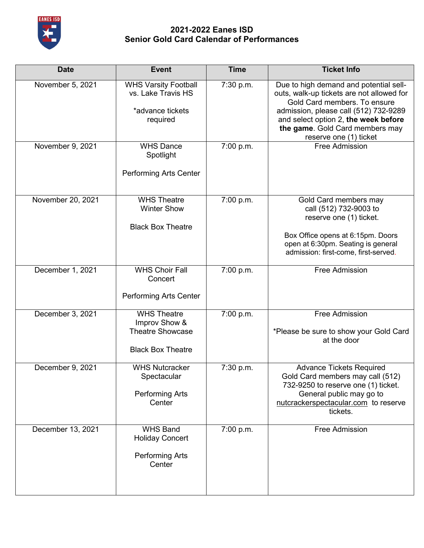

| <b>Date</b>       | <b>Event</b>                                                                               | <b>Time</b> | <b>Ticket Info</b>                                                                                                                                                                                                                                                |
|-------------------|--------------------------------------------------------------------------------------------|-------------|-------------------------------------------------------------------------------------------------------------------------------------------------------------------------------------------------------------------------------------------------------------------|
| November 5, 2021  | <b>WHS Varsity Football</b><br>vs. Lake Travis HS<br>*advance tickets<br>required          | 7:30 p.m.   | Due to high demand and potential sell-<br>outs, walk-up tickets are not allowed for<br>Gold Card members. To ensure<br>admission, please call (512) 732-9289<br>and select option 2, the week before<br>the game. Gold Card members may<br>reserve one (1) ticket |
| November 9, 2021  | <b>WHS Dance</b><br>Spotlight<br><b>Performing Arts Center</b>                             | 7:00 p.m.   | <b>Free Admission</b>                                                                                                                                                                                                                                             |
| November 20, 2021 | <b>WHS Theatre</b><br><b>Winter Show</b><br><b>Black Box Theatre</b>                       | 7:00 p.m.   | Gold Card members may<br>call (512) 732-9003 to<br>reserve one (1) ticket.<br>Box Office opens at 6:15pm. Doors<br>open at 6:30pm. Seating is general<br>admission: first-come, first-served.                                                                     |
| December 1, 2021  | <b>WHS Choir Fall</b><br>Concert<br><b>Performing Arts Center</b>                          | 7:00 p.m.   | Free Admission                                                                                                                                                                                                                                                    |
| December 3, 2021  | <b>WHS Theatre</b><br>Improv Show &<br><b>Theatre Showcase</b><br><b>Black Box Theatre</b> | 7:00 p.m.   | <b>Free Admission</b><br>*Please be sure to show your Gold Card<br>at the door                                                                                                                                                                                    |
| December 9, 2021  | <b>WHS Nutcracker</b><br>Spectacular<br><b>Performing Arts</b><br>Center                   | 7:30 p.m.   | <b>Advance Tickets Required</b><br>Gold Card members may call (512)<br>732-9250 to reserve one (1) ticket.<br>General public may go to<br>nutcrackerspectacular.com to reserve<br>tickets.                                                                        |
| December 13, 2021 | <b>WHS Band</b><br><b>Holiday Concert</b><br>Performing Arts<br>Center                     | 7:00 p.m.   | Free Admission                                                                                                                                                                                                                                                    |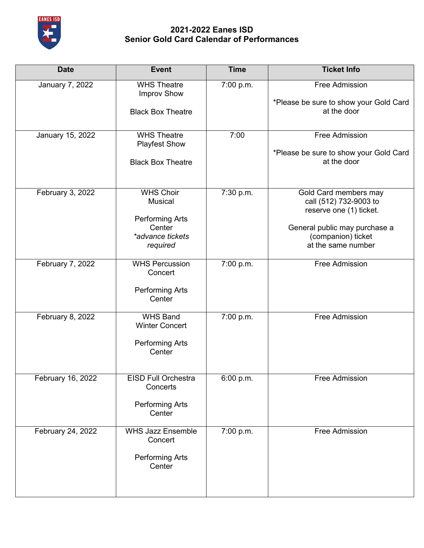

| <b>Date</b>            | <b>Event</b>                                                     | <b>Time</b> | <b>Ticket Info</b>                                                         |
|------------------------|------------------------------------------------------------------|-------------|----------------------------------------------------------------------------|
| <b>January 7, 2022</b> | <b>WHS Theatre</b><br><b>Improv Show</b>                         | 7:00 p.m.   | Free Admission<br>*Please be sure to show your Gold Card                   |
|                        | <b>Black Box Theatre</b>                                         |             | at the door                                                                |
| January 15, 2022       | <b>WHS Theatre</b><br><b>Playfest Show</b>                       | 7:00        | Free Admission<br>*Please be sure to show your Gold Card                   |
|                        | <b>Black Box Theatre</b>                                         |             | at the door                                                                |
| February 3, 2022       | <b>WHS Choir</b><br><b>Musical</b>                               | 7:30 p.m.   | Gold Card members may<br>call (512) 732-9003 to<br>reserve one (1) ticket. |
|                        | <b>Performing Arts</b><br>Center<br>*advance tickets<br>required |             | General public may purchase a<br>(companion) ticket<br>at the same number  |
| February 7, 2022       | <b>WHS Percussion</b><br>Concert                                 | 7:00 p.m.   | <b>Free Admission</b>                                                      |
|                        | <b>Performing Arts</b><br>Center                                 |             |                                                                            |
| February 8, 2022       | <b>WHS Band</b><br><b>Winter Concert</b>                         | 7:00 p.m.   | Free Admission                                                             |
|                        | Performing Arts<br>Center                                        |             |                                                                            |
| February 16, 2022      | <b>EISD Full Orchestra</b><br>Concerts                           | 6:00 p.m.   | Free Admission                                                             |
|                        | Performing Arts<br>Center                                        |             |                                                                            |
| February 24, 2022      | <b>WHS Jazz Ensemble</b><br>Concert                              | 7:00 p.m.   | Free Admission                                                             |
|                        | Performing Arts<br>Center                                        |             |                                                                            |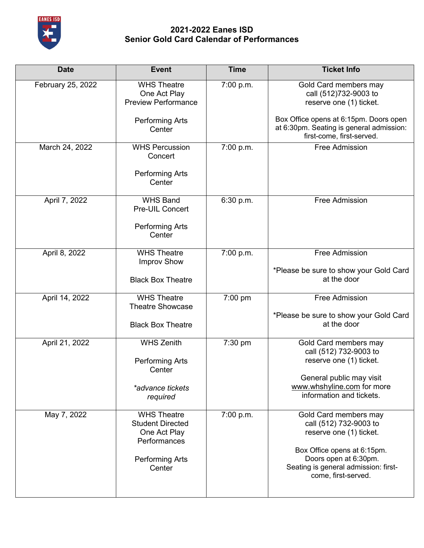

| <b>Date</b>       | <b>Event</b>                                                                                                      | <b>Time</b> | <b>Ticket Info</b>                                                                                                                                                                                |
|-------------------|-------------------------------------------------------------------------------------------------------------------|-------------|---------------------------------------------------------------------------------------------------------------------------------------------------------------------------------------------------|
| February 25, 2022 | <b>WHS Theatre</b><br>One Act Play<br><b>Preview Performance</b>                                                  | 7:00 p.m.   | Gold Card members may<br>call (512)732-9003 to<br>reserve one (1) ticket.                                                                                                                         |
|                   | <b>Performing Arts</b><br>Center                                                                                  |             | Box Office opens at 6:15pm. Doors open<br>at 6:30pm. Seating is general admission:<br>first-come, first-served.                                                                                   |
| March 24, 2022    | <b>WHS Percussion</b><br>Concert<br><b>Performing Arts</b><br>Center                                              | 7:00 p.m.   | <b>Free Admission</b>                                                                                                                                                                             |
|                   |                                                                                                                   |             |                                                                                                                                                                                                   |
| April 7, 2022     | <b>WHS Band</b><br>Pre-UIL Concert                                                                                | 6:30 p.m.   | Free Admission                                                                                                                                                                                    |
|                   | Performing Arts<br>Center                                                                                         |             |                                                                                                                                                                                                   |
| April 8, 2022     | <b>WHS Theatre</b><br><b>Improv Show</b>                                                                          | 7:00 p.m.   | <b>Free Admission</b>                                                                                                                                                                             |
|                   | <b>Black Box Theatre</b>                                                                                          |             | *Please be sure to show your Gold Card<br>at the door                                                                                                                                             |
| April 14, 2022    | <b>WHS Theatre</b><br><b>Theatre Showcase</b>                                                                     | 7:00 pm     | Free Admission                                                                                                                                                                                    |
|                   | <b>Black Box Theatre</b>                                                                                          |             | *Please be sure to show your Gold Card<br>at the door                                                                                                                                             |
| April 21, 2022    | <b>WHS Zenith</b>                                                                                                 | 7:30 pm     | Gold Card members may<br>call (512) 732-9003 to                                                                                                                                                   |
|                   | <b>Performing Arts</b><br>Center                                                                                  |             | reserve one (1) ticket.                                                                                                                                                                           |
|                   | *advance tickets<br>required                                                                                      |             | General public may visit<br>www.whshyline.com for more<br>information and tickets.                                                                                                                |
| May 7, 2022       | <b>WHS Theatre</b><br><b>Student Directed</b><br>One Act Play<br>Performances<br><b>Performing Arts</b><br>Center | 7:00 p.m.   | Gold Card members may<br>call (512) 732-9003 to<br>reserve one (1) ticket.<br>Box Office opens at 6:15pm.<br>Doors open at 6:30pm.<br>Seating is general admission: first-<br>come, first-served. |
|                   |                                                                                                                   |             |                                                                                                                                                                                                   |